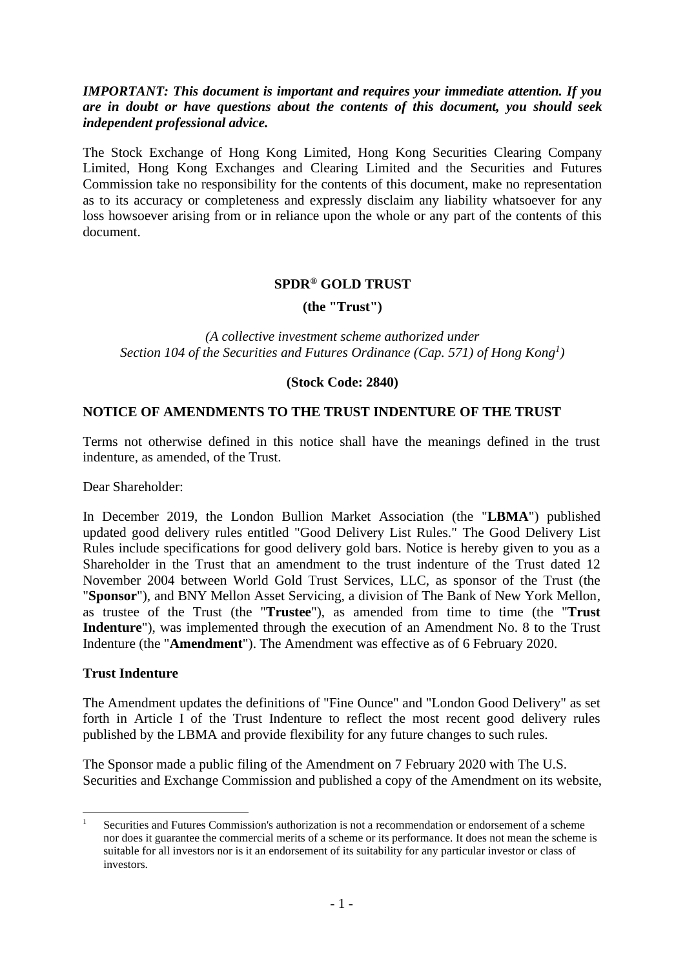# *IMPORTANT: This document is important and requires your immediate attention. If you are in doubt or have questions about the contents of this document, you should seek independent professional advice.*

The Stock Exchange of Hong Kong Limited, Hong Kong Securities Clearing Company Limited, Hong Kong Exchanges and Clearing Limited and the Securities and Futures Commission take no responsibility for the contents of this document, make no representation as to its accuracy or completeness and expressly disclaim any liability whatsoever for any loss howsoever arising from or in reliance upon the whole or any part of the contents of this document.

## **SPDR® GOLD TRUST**

**(the "Trust")**

*(A collective investment scheme authorized under Section 104 of the Securities and Futures Ordinance (Cap. 571) of Hong Kong<sup>1</sup> )*

**(Stock Code: 2840)**

### **NOTICE OF AMENDMENTS TO THE TRUST INDENTURE OF THE TRUST**

Terms not otherwise defined in this notice shall have the meanings defined in the trust indenture, as amended, of the Trust.

Dear Shareholder:

In December 2019, the London Bullion Market Association (the "**LBMA**") published updated good delivery rules entitled "Good Delivery List Rules." The Good Delivery List Rules include specifications for good delivery gold bars. Notice is hereby given to you as a Shareholder in the Trust that an amendment to the trust indenture of the Trust dated 12 November 2004 between World Gold Trust Services, LLC, as sponsor of the Trust (the "**Sponsor**"), and BNY Mellon Asset Servicing, a division of The Bank of New York Mellon, as trustee of the Trust (the "**Trustee**"), as amended from time to time (the "**Trust Indenture**"), was implemented through the execution of an Amendment No. 8 to the Trust Indenture (the "**Amendment**"). The Amendment was effective as of 6 February 2020.

### **Trust Indenture**

The Amendment updates the definitions of "Fine Ounce" and "London Good Delivery" as set forth in Article I of the Trust Indenture to reflect the most recent good delivery rules published by the LBMA and provide flexibility for any future changes to such rules.

The Sponsor made a public filing of the Amendment on 7 February 2020 with The U.S. Securities and Exchange Commission and published a copy of the Amendment on its website,

<sup>&</sup>lt;sup>1</sup> Securities and Futures Commission's authorization is not a recommendation or endorsement of a scheme nor does it guarantee the commercial merits of a scheme or its performance. It does not mean the scheme is suitable for all investors nor is it an endorsement of its suitability for any particular investor or class of investors.